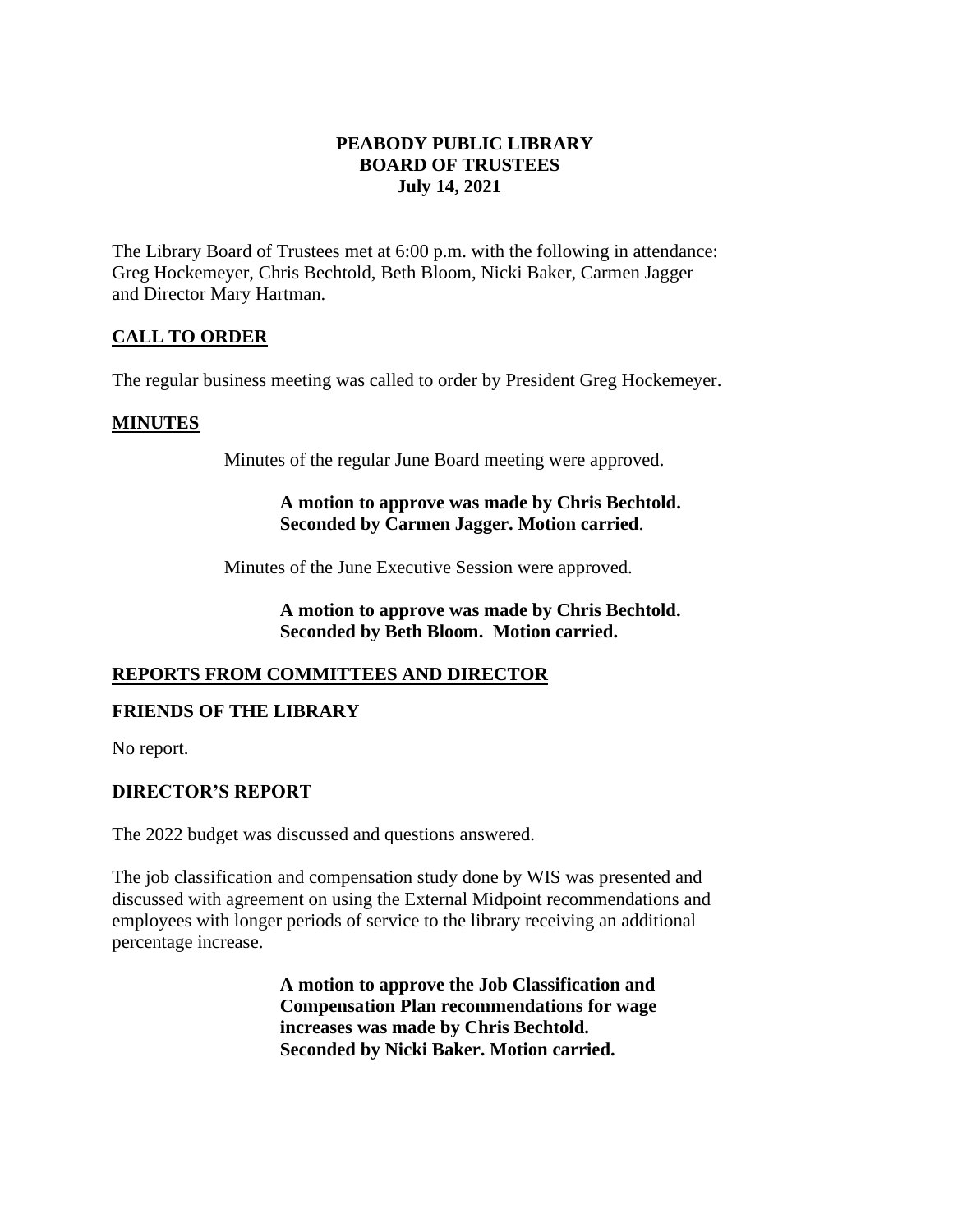## **PEABODY PUBLIC LIBRARY BOARD OF TRUSTEES July 14, 2021**

The Library Board of Trustees met at 6:00 p.m. with the following in attendance: Greg Hockemeyer, Chris Bechtold, Beth Bloom, Nicki Baker, Carmen Jagger and Director Mary Hartman.

# **CALL TO ORDER**

The regular business meeting was called to order by President Greg Hockemeyer.

#### **MINUTES**

Minutes of the regular June Board meeting were approved.

## **A motion to approve was made by Chris Bechtold. Seconded by Carmen Jagger. Motion carried**.

Minutes of the June Executive Session were approved.

**A motion to approve was made by Chris Bechtold. Seconded by Beth Bloom. Motion carried.** 

# **REPORTS FROM COMMITTEES AND DIRECTOR**

#### **FRIENDS OF THE LIBRARY**

No report.

#### **DIRECTOR'S REPORT**

The 2022 budget was discussed and questions answered.

The job classification and compensation study done by WIS was presented and discussed with agreement on using the External Midpoint recommendations and employees with longer periods of service to the library receiving an additional percentage increase.

> **A motion to approve the Job Classification and Compensation Plan recommendations for wage increases was made by Chris Bechtold. Seconded by Nicki Baker. Motion carried.**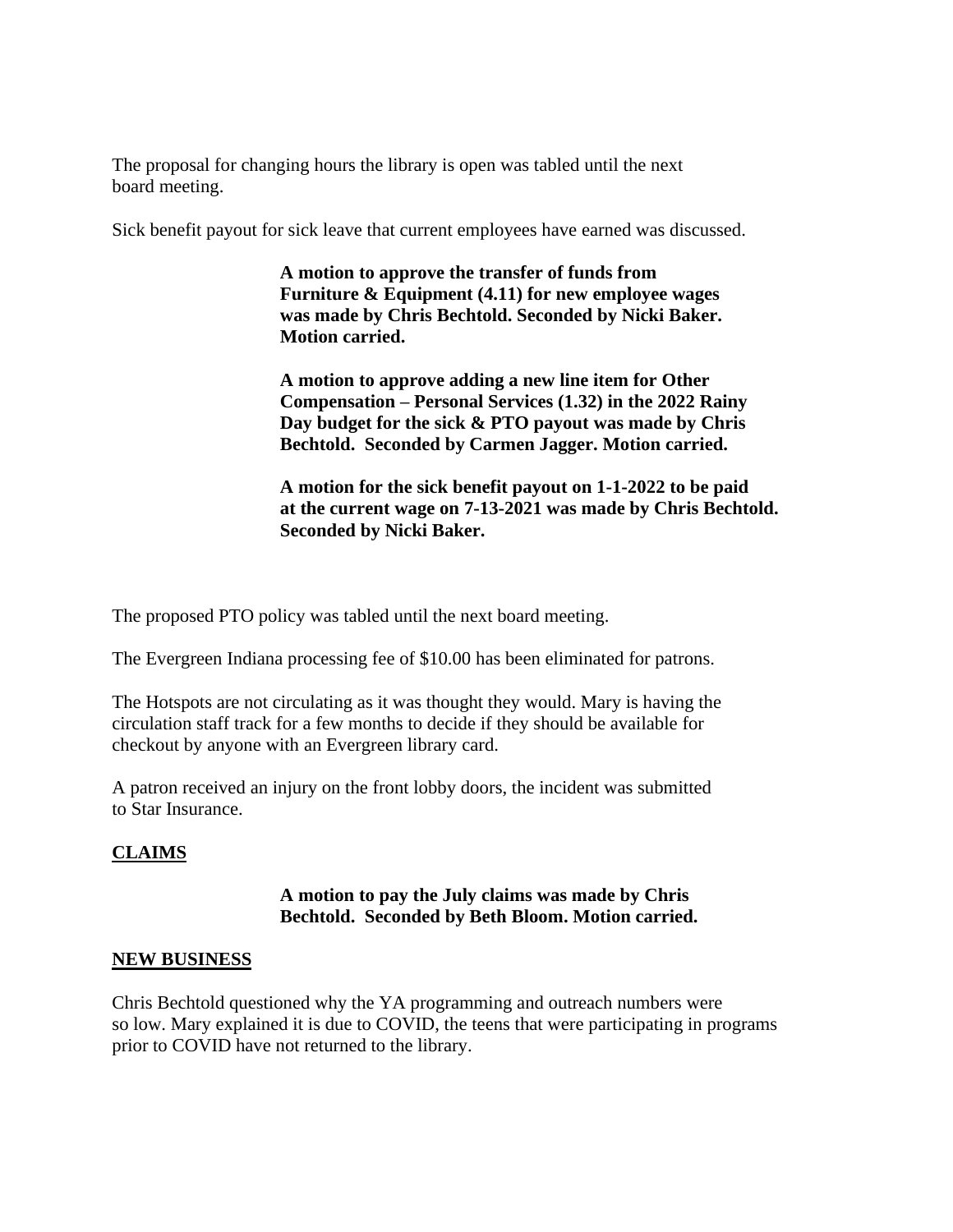The proposal for changing hours the library is open was tabled until the next board meeting.

Sick benefit payout for sick leave that current employees have earned was discussed.

**A motion to approve the transfer of funds from Furniture & Equipment (4.11) for new employee wages was made by Chris Bechtold. Seconded by Nicki Baker. Motion carried.**

**A motion to approve adding a new line item for Other Compensation – Personal Services (1.32) in the 2022 Rainy Day budget for the sick & PTO payout was made by Chris Bechtold. Seconded by Carmen Jagger. Motion carried.** 

**A motion for the sick benefit payout on 1-1-2022 to be paid at the current wage on 7-13-2021 was made by Chris Bechtold. Seconded by Nicki Baker.** 

The proposed PTO policy was tabled until the next board meeting.

The Evergreen Indiana processing fee of \$10.00 has been eliminated for patrons.

The Hotspots are not circulating as it was thought they would. Mary is having the circulation staff track for a few months to decide if they should be available for checkout by anyone with an Evergreen library card.

A patron received an injury on the front lobby doors, the incident was submitted to Star Insurance.

# **CLAIMS**

#### **A motion to pay the July claims was made by Chris Bechtold. Seconded by Beth Bloom. Motion carried.**

#### **NEW BUSINESS**

Chris Bechtold questioned why the YA programming and outreach numbers were so low. Mary explained it is due to COVID, the teens that were participating in programs prior to COVID have not returned to the library.